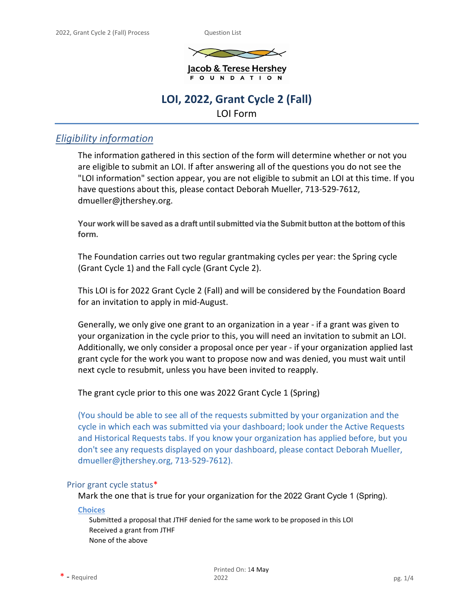

Jacob & Terese Hershey F O U N D A T I O N

# **LOI, 2022, Grant Cycle 2 (Fall)**

LOI Form

## *Eligibility information*

The information gathered in this section of the form will determine whether or not you are eligible to submit an LOI. If after answering all of the questions you do not see the "LOI information" section appear, you are not eligible to submit an LOI at this time. If you have questions about this, please contact Deborah Mueller, 713-529-7612, [dmueller@jthershey.org.](mailto:dmueller@jthershey.org)

**Your work will be saved as a draft until submitted via the Submit button at the bottom of this form.**

The Foundation carries out two regular grantmaking cycles per year: the Spring cycle (Grant Cycle 1) and the Fall cycle (Grant Cycle 2).

This LOI is for 2022 Grant Cycle 2 (Fall) and will be considered by the Foundation Board for an invitation to apply in mid-August.

Generally, we only give one grant to an organization in a year - if a grant was given to your organization in the cycle prior to this, you will need an invitation to submit an LOI. Additionally, we only consider a proposal once per year - if your organization applied last grant cycle for the work you want to propose now and was denied, you must wait until next cycle to resubmit, unless you have been invited to reapply.

The grant cycle prior to this one was 2022 Grant Cycle 1 (Spring)

(You should be able to see all of the requests submitted by your organization and the cycle in which each was submitted via your dashboard; look under the Active Requests and Historical Requests tabs. If you know your organization has applied before, but you don't see any requests displayed on your dashboard, please contact Deborah Mueller, [dmueller@jthershey.org, 7](mailto:dmueller@jthershey.org)13-529-7612).

## Prior grant cycle status\*

Mark the one that is true for your organization for the 2022 Grant Cycle 1 (Spring).

**Choices**

Submitted a proposal that JTHF denied for the same work to be proposed in this LOI Received a grant from JTHF None of the above

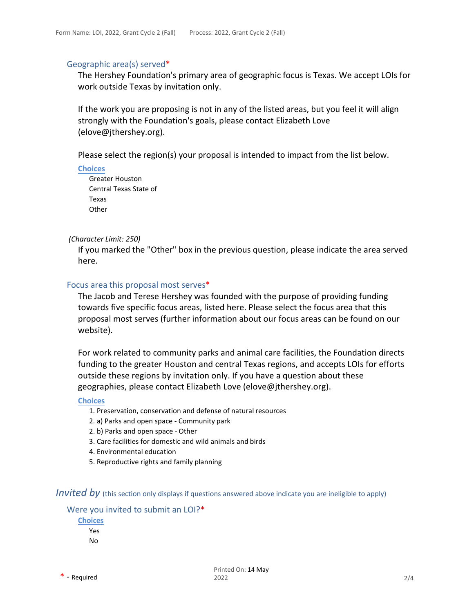#### Geographic area(s) served\*

The Hershey Foundation's primary area of geographic focus is Texas. We accept LOIs for work outside Texas by invitation only.

If the work you are proposing is not in any of the listed areas, but you feel it will align strongly with the Foundation's goals, please contact Elizabeth Love (elove@jthershey.org).

Please select the region(s) your proposal is intended to impact from the list below.

**Choices**

Greater Houston Central Texas State of Texas **Other** 

#### *(Character Limit: 250)*

If you marked the "Other" box in the previous question, please indicate the area served here.

## Focus area this proposal most serves\*

The Jacob and Terese Hershey was founded with the purpose of providing funding towards five specific focus areas, listed here. Please select the focus area that this proposal most serves (further information about our focus areas can be found on [our](https://jthershey.org/grantmaking-priorities/) [webs](https://jthershey.org/grantmaking-priorities/)ite).

For work related to community parks and animal care facilities, the Foundation directs funding to the greater Houston and central Texas regions, and accepts LOIs for efforts outside these regions by invitation only. If you have a question about these geographies, please contact Elizabeth Love (elove@jthershey.org).

#### **Choices**

- 1. Preservation, conservation and defense of natural resources
- 2. a) Parks and open space Community park
- 2. b) Parks and open space Other
- 3. Care facilities for domestic and wild animals and birds
- 4. Environmental education
- 5. Reproductive rights and family planning

### *Invited by* (this section only displays if questions answered above indicate you are ineligible to apply)

#### Were you invited to submit an LOI?\*

**Choices** Yes No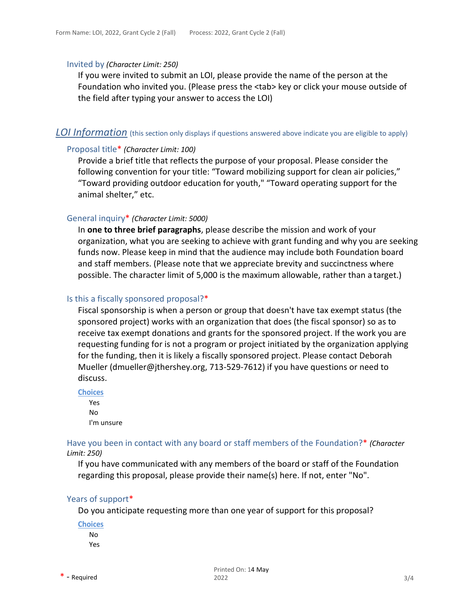#### Invited by *(Character Limit: 250)*

If you were invited to submit an LOI, please provide the name of the person at the Foundation who invited you. (Please press the <tab> key or click your mouse outside of the field after typing your answer to access the LOI)

## *LOI Information* (this section only displays if questions answered above indicate you are eligible to apply)

## Proposal title\* *(Character Limit: 100)*

Provide a brief title that reflects the purpose of your proposal. Please consider the following convention for your title: "Toward mobilizing support for clean air policies," "Toward providing outdoor education for youth," "Toward operating support for the animal shelter," etc.

#### General inquiry\* *(Character Limit: 5000)*

In **one to three brief paragraphs**, please describe the mission and work of your organization, what you are seeking to achieve with grant funding and why you are seeking funds now. Please keep in mind that the audience may include both Foundation board and staff members. (Please note that we appreciate brevity and succinctness where possible. The character limit of 5,000 is the maximum allowable, rather than a target.)

#### Is this a fiscally sponsored proposal?\*

Fiscal sponsorship is when a person or group that doesn't have tax exempt status (the sponsored project) works with an organization that does (the fiscal sponsor) so as to receive tax exempt donations and grants for the sponsored project. If the work you are requesting funding for is not a program or project initiated by the organization applying for the funding, then it is likely a fiscally sponsored project. Please contact Deborah Muelle[r \(dmueller@jthershey.org, 7](mailto:(dmueller@jthershey.org)13-529-7612) if you have questions or need to discuss.

**Choices**

Yes No I'm unsure

Have you been in contact with any board or staff members of the Foundation?\* *(Character Limit: 250)*

If you have communicated with any members of the board or staff of the Foundation regarding this proposal, please provide their name(s) here. If not, enter "No".

#### Years of support\*

Do you anticipate requesting more than one year of support for this proposal?

**Choices** No Yes